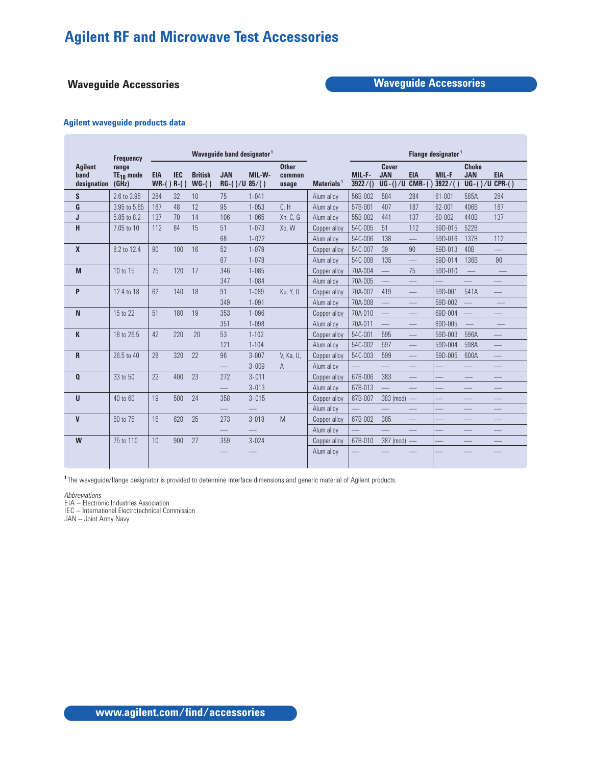# **Waveguide Accessories Waveguide Accessories**

## **Agilent waveguide products data**

|                                       | <b>Frequency</b>                 |                           |            |                           | Waveguide band designator <sup>1</sup> |           |                                 |               | Flange designator <sup>1</sup> |                                  |                                  |                         |                                         |                                |
|---------------------------------------|----------------------------------|---------------------------|------------|---------------------------|----------------------------------------|-----------|---------------------------------|---------------|--------------------------------|----------------------------------|----------------------------------|-------------------------|-----------------------------------------|--------------------------------|
| <b>Agilent</b><br>band<br>designation | range<br>$TE_{10}$ mode<br>(GHz) | <b>EIA</b><br>$WR-()R-()$ | <b>IEC</b> | <b>British</b><br>$WG-()$ | <b>JAN</b><br>$RG-()/U 85/()$          | MIL-W-    | <b>Other</b><br>common<br>usage | Materials $1$ | MIL-F-<br>3922/()              | Cover<br><b>JAN</b><br>$UG-()/U$ | <b>EIA</b><br>$CMR-()$           | <b>MIL-F</b><br>3922/() | <b>Choke</b><br><b>JAN</b><br>$UG-()/U$ | <b>EIA</b><br>$CPR-()$         |
| S                                     | 2.6 to 3.95                      | 284                       | 32         | 10                        | 75                                     | $1 - 041$ |                                 | Alum alloy    | 56B-002                        | 584                              | 284                              | 61-001                  | 585A                                    | 284                            |
| G                                     | 3.95 to 5.85                     | 187                       | 48         | 12                        | 95                                     | $1 - 053$ | C, H                            | Alum alloy    | 57B-001                        | 407                              | 187                              | 62-001                  | 406B                                    | 187                            |
| J                                     | 5.85 to 8.2                      | 137                       | 70         | 14                        | 106                                    | $1 - 065$ | Xn, C, G                        | Alum alloy    | 55B-002                        | 441                              | 137                              | 60-002                  | 440B                                    | 137                            |
| H                                     | 7.05 to 10                       | 112                       | 84         | 15                        | 51                                     | $1 - 073$ | Xb, W                           | Copper alloy  | 54C-005                        | 51                               | 112                              | 59D-015                 | 522B                                    |                                |
|                                       |                                  |                           |            |                           | 68                                     | $1 - 072$ |                                 | Alum alloy    | 54C-006                        | 138                              |                                  | 59D-016                 | 137B                                    | 112                            |
| X                                     | 8.2 to 12.4                      | 90                        | 100        | 16                        | 52                                     | $1 - 079$ |                                 | Copper alloy  | 54C-007                        | 39                               | 90                               | 59D-013                 | 40B                                     | $\overline{\phantom{0}}$       |
|                                       |                                  |                           |            |                           | 67                                     | $1 - 078$ |                                 | Alum allov    | 54C-008                        | 135                              |                                  | 59D-014                 | 136B                                    | 90                             |
| M                                     | 10 to 15                         | 75                        | 120        | 17                        | 346                                    | $1 - 085$ |                                 | Copper alloy  | 70A-004                        |                                  | 75                               | 59D-010                 |                                         | $\qquad \qquad -$              |
|                                       |                                  |                           |            |                           | 347                                    | $1 - 084$ |                                 | Alum alloy    | 70A-005                        |                                  |                                  |                         |                                         |                                |
| P                                     | 12.4 to 18                       | 62                        | 140        | 18                        | 91                                     | $1 - 089$ | Ku, Y, U                        | Copper alloy  | 70A-007                        | 419                              |                                  | 59D-001                 | 541A                                    |                                |
|                                       |                                  |                           |            |                           | 349                                    | $1 - 091$ |                                 | Alum alloy    | 70A-008                        |                                  |                                  | 59D-002                 |                                         |                                |
| N                                     | 15 to 22                         | 51                        | 180        | 19                        | 353                                    | $1 - 096$ |                                 | Copper alloy  | 70A-010                        | $\frac{1}{2}$                    | $\qquad \qquad$                  | 69D-004                 | $\equiv$                                |                                |
|                                       |                                  |                           |            |                           | 351                                    | $1 - 098$ |                                 | Alum alloy    | 70A-011                        | $\qquad \qquad \qquad$           |                                  | 69D-005                 | $\equiv$                                |                                |
| K                                     | 18 to 26.5                       | 42                        | 220        | 20                        | 53                                     | $1 - 102$ |                                 | Copper alloy  | 54C-001                        | 595                              |                                  | 59D-003                 | 596A                                    |                                |
|                                       |                                  |                           |            |                           | 121                                    | $1 - 104$ |                                 | Alum alloy    | 54C-002                        | 597                              | $\hspace{0.05cm}$                | 59D-004                 | 598A                                    | $\overline{\phantom{0}}$       |
| R                                     | 26.5 to 40                       | 28                        | 320        | 22                        | 96                                     | $3 - 007$ | V. Ka. U.                       | Copper alloy  | 54C-003                        | 599                              | 二                                | 59D-005                 | 600A                                    |                                |
|                                       |                                  |                           |            |                           | $\hspace{0.1mm}-\hspace{0.1mm}$        | $3 - 009$ | A                               | Alum alloy    |                                | $\qquad \qquad -$                |                                  |                         |                                         | $\qquad \qquad \longleftarrow$ |
| Q                                     | 33 to 50                         | 22                        | 400        | 23                        | 272                                    | $3 - 011$ |                                 | Copper alloy  | 67B-006                        | 383                              |                                  |                         |                                         |                                |
|                                       |                                  |                           |            |                           |                                        | $3 - 013$ |                                 | Alum allov    | 67B-013                        |                                  |                                  |                         |                                         |                                |
| U                                     | 40 to 60                         | 19                        | 500        | 24                        | 358                                    | $3 - 015$ |                                 | Copper alloy  | 67B-007                        | 383 (mod)                        | $\overline{\phantom{a}}$         |                         |                                         |                                |
|                                       |                                  |                           |            |                           |                                        |           |                                 | Alum alloy    |                                |                                  |                                  |                         | $\overline{\phantom{0}}$                |                                |
| V                                     | 50 to 75                         | 15                        | 620        | 25                        | 273                                    | $3 - 018$ | M                               | Copper alloy  | 67B-002                        | 385                              | $\hspace{0.1cm} -\hspace{0.1cm}$ |                         |                                         |                                |
|                                       |                                  |                           |            |                           |                                        |           |                                 | Alum alloy    |                                |                                  |                                  |                         |                                         |                                |
| W                                     | 75 to 110                        | 10                        | 900        | 27                        | 359                                    | $3 - 024$ |                                 | Copper alloy  | 67B-010                        | 387 (mod)                        | $\overline{\phantom{m}}$         |                         | $\qquad \qquad -$                       |                                |
|                                       |                                  |                           |            |                           |                                        |           |                                 | Alum alloy    |                                |                                  |                                  |                         |                                         |                                |

**<sup>1</sup>** The waveguide/flange designator is provided to determine interface dimensions and generic material of Agilent products.

*Abbreviations*

EIA – Electronic Industries Association

IEC – International Electrotechnical Commission

JAN – Joint Army Navy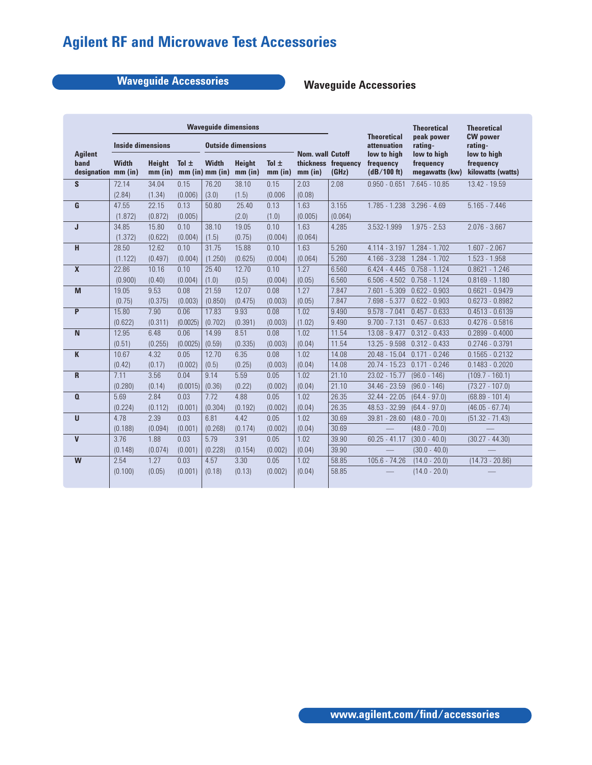# **Waveguide Accessories Waveguide Accessories**

|                                               |                                          |         |           | <b>Wavequide dimensions</b>     |                            |                      |                                    |                              | <b>Theoretical</b>                      | <b>Theoretical</b>                         |                                               |  |
|-----------------------------------------------|------------------------------------------|---------|-----------|---------------------------------|----------------------------|----------------------|------------------------------------|------------------------------|-----------------------------------------|--------------------------------------------|-----------------------------------------------|--|
|                                               | <b>Inside dimensions</b>                 |         |           | <b>Outside dimensions</b>       |                            |                      |                                    |                              | <b>Theoretical</b><br>attenuation       | peak power<br>rating-                      | <b>CW</b> power<br>rating-                    |  |
| <b>Agilent</b><br>band<br>designation mm (in) | <b>Width</b><br><b>Height</b><br>mm (in) |         | Tol $\pm$ | <b>Width</b><br>mm (in) mm (in) | <b>Height</b><br>$mm$ (in) | Tol $\pm$<br>mm (in) | <b>Nom. wall Cutoff</b><br>mm (in) | thickness frequency<br>(GHz) | low to high<br>frequency<br>(dB/100 ft) | low to high<br>frequency<br>megawatts (kw) | low to high<br>frequency<br>kilowatts (watts) |  |
| S                                             | 72.14                                    | 34.04   | 0.15      | 76.20                           | 38.10                      | 0.15                 | 2.03                               | 2.08                         | $0.950 - 0.651$                         | $7.645 - 10.85$                            | 13.42 - 19.59                                 |  |
|                                               | (2.84)                                   | (1.34)  | (0.006)   | (3.0)                           | (1.5)                      | (0.006)              | (0.08)                             |                              |                                         |                                            |                                               |  |
| G                                             | 47.55                                    | 22.15   | 0.13      | 50.80                           | 25.40                      | 0.13                 | 1.63                               | 3.155                        | 1.785 - 1.238 3.296 - 4.69              |                                            | $5.165 - 7.446$                               |  |
|                                               | (1.872)                                  | (0.872) | (0.005)   |                                 | (2.0)                      | (1.0)                | (0.005)                            | (0.064)                      |                                         |                                            |                                               |  |
| J                                             | 34.85                                    | 15.80   | 0.10      | 38.10                           | 19.05                      | 0.10                 | 1.63                               | 4.285                        | 3.532-1.999                             | $1.975 - 2.53$                             | $2.076 - 3.667$                               |  |
|                                               | (1.372)                                  | (0.622) | (0.004)   | (1.5)                           | (0.75)                     | (0.004)              | (0.064)                            |                              |                                         |                                            |                                               |  |
| H                                             | 28.50                                    | 12.62   | 0.10      | 31.75                           | 15.88                      | 0.10                 | 1.63                               | 5.260                        | $4.114 - 3.197$                         | $1.284 - 1.702$                            | $1.607 - 2.067$                               |  |
|                                               | (1.122)                                  | (0.497) | (0.004)   | (1.250)                         | (0.625)                    | (0.004)              | (0.064)                            | 5.260                        | $4.166 - 3.238$                         | $1.284 - 1.702$                            | $1.523 - 1.958$                               |  |
| $\mathbf{x}$                                  | 22.86                                    | 10.16   | 0.10      | 25.40                           | 12.70                      | 0.10                 | 1.27                               | 6.560                        | $6.424 - 4.445$                         | $0.758 - 1.124$                            | $0.8621 - 1.246$                              |  |
|                                               | (0.900)                                  | (0.40)  | (0.004)   | (1.0)                           | (0.5)                      | (0.004)              | (0.05)                             | 6.560                        | $6.506 - 4.502$                         | $0.758 - 1.124$                            | $0.8169 - 1.180$                              |  |
| M                                             | 19.05                                    | 9.53    | 0.08      | 21.59                           | 12.07                      | 0.08                 | 1.27                               | 7.847                        | $7.601 - 5.309$                         | $0.622 - 0.903$                            | $0.6621 - 0.9479$                             |  |
|                                               | (0.75)                                   | (0.375) | (0.003)   | (0.850)                         | (0.475)                    | (0.003)              | (0.05)                             | 7.847                        | $7.698 - 5.377$                         | $0.622 - 0.903$                            | $0.6273 - 0.8982$                             |  |
| P                                             | 15.80                                    | 7.90    | 0.06      | 17.83                           | 9.93                       | 0.08                 | 1.02                               | 9.490                        | $9.578 - 7.041$                         | $0.457 - 0.633$                            | $0.4513 - 0.6139$                             |  |
|                                               | (0.622)                                  | (0.311) | (0.0025)  | (0.702)                         | (0.391)                    | (0.003)              | (1.02)                             | 9.490                        | $9.700 - 7.131$                         | $0.457 - 0.633$                            | $0.4276 - 0.5816$                             |  |
| $\overline{N}$                                | 12.95                                    | 6.48    | 0.06      | 14.99                           | 8.51                       | 0.08                 | 1.02                               | 11.54                        | $13.08 - 9.477$                         | $0.312 - 0.433$                            | $0.2899 - 0.4000$                             |  |
|                                               | (0.51)                                   | (0.255) | (0.0025)  | (0.59)                          | (0.335)                    | (0.003)              | (0.04)                             | 11.54                        | 13.25 - 9.598                           | $0.312 - 0.433$                            | $0.2746 - 0.3791$                             |  |
| K                                             | 10.67                                    | 4.32    | 0.05      | 12.70                           | 6.35                       | 0.08                 | 1.02                               | 14.08                        | $20.48 - 15.04$                         | $0.171 - 0.246$                            | $0.1565 - 0.2132$                             |  |
|                                               | (0.42)                                   | (0.17)  | (0.002)   | (0.5)                           | (0.25)                     | (0.003)              | (0.04)                             | 14.08                        | $20.74 - 15.23$                         | $0.171 - 0.246$                            | $0.1483 - 0.2020$                             |  |
| R                                             | 7.11                                     | 3.56    | 0.04      | 9.14                            | 5.59                       | 0.05                 | 1.02                               | 21.10                        | 23.02 - 15.77                           | $(96.0 - 146)$                             | $(109.7 - 160.1)$                             |  |
|                                               | (0.280)                                  | (0.14)  | (0.0015)  | (0.36)                          | (0.22)                     | (0.002)              | (0.04)                             | 21.10                        | 34.46 - 23.59                           | $(96.0 - 146)$                             | $(73.27 - 107.0)$                             |  |
| $\mathbf{0}$                                  | 5.69                                     | 2.84    | 0.03      | 7.72                            | 4.88                       | 0.05                 | 1.02                               | 26.35                        | $32.44 - 22.05$                         | $(64.4 - 97.0)$                            | $(68.89 - 101.4)$                             |  |
|                                               | (0.224)                                  | (0.112) | (0.001)   | (0.304)                         | (0.192)                    | (0.002)              | (0.04)                             | 26.35                        | 48.53 - 32.99                           | $(64.4 - 97.0)$                            | $(46.05 - 67.74)$                             |  |
| $\mathbf{U}$                                  | 4.78                                     | 2.39    | 0.03      | 6.81                            | 4.42                       | 0.05                 | 1.02                               | 30.69                        | 39.81 - 28.60                           | $(48.0 - 70.0)$                            | $(51.32 - 71.43)$                             |  |
|                                               | (0.188)                                  | (0.094) | (0.001)   | (0.268)                         | (0.174)                    | (0.002)              | (0.04)                             | 30.69                        |                                         | $(48.0 - 70.0)$                            |                                               |  |
| $\mathbf v$                                   | 3.76                                     | 1.88    | 0.03      | 5.79                            | 3.91                       | 0.05                 | 1.02                               | 39.90                        | $60.25 - 41.17$                         | $(30.0 - 40.0)$                            | $(30.27 - 44.30)$                             |  |
|                                               | (0.148)                                  | (0.074) | (0.001)   | (0.228)                         | (0.154)                    | (0.002)              | (0.04)                             | 39.90                        |                                         | $(30.0 - 40.0)$                            |                                               |  |
| W                                             | 2.54                                     | 1.27    | 0.03      | 4.57                            | 3.30                       | 0.05                 | 1.02                               | 58.85                        | 105.6 - 74.26                           | $(14.0 - 20.0)$                            | $(14.73 - 20.86)$                             |  |
|                                               | (0.100)                                  | (0.05)  | (0.001)   | (0.18)                          | (0.13)                     | (0.002)              | (0.04)                             | 58.85                        |                                         | $(14.0 - 20.0)$                            |                                               |  |
|                                               |                                          |         |           |                                 |                            |                      |                                    |                              |                                         |                                            |                                               |  |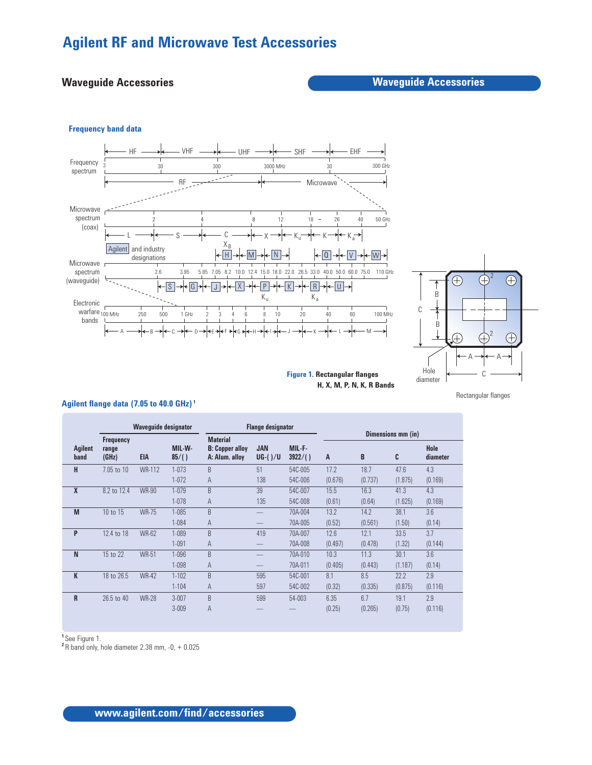# **Waveguide Accessories Waveguide Accessories**

## **Frequency band data**





**Figure 1. Rectangular flanges H, X, M, P, N, K, R Bands**

Rectangular flanges

## **Agilent flange data (7.05 to 40.0 GHz) <sup>1</sup>**

|                 | <b>Waveguide designator</b>        |               |                 |                                                             | <b>Flange designator</b> |                   | Dimensions mm (in) |         |         |                  |  |
|-----------------|------------------------------------|---------------|-----------------|-------------------------------------------------------------|--------------------------|-------------------|--------------------|---------|---------|------------------|--|
| Agilent<br>band | <b>Frequency</b><br>range<br>(GHz) | EIA           | MIL-W-<br>85/() | <b>Material</b><br><b>B:</b> Copper alloy<br>A: Alum. alloy | <b>JAN</b><br>$UG-()/U$  | MIL-F-<br>3922/() | A                  | B       | C       | Hole<br>diameter |  |
| н               | 7.05 to 10                         | <b>WR-112</b> | $1 - 073$       | B                                                           | 51                       | 54C-005           | 17.2               | 18.7    | 47.6    | 4.3              |  |
|                 |                                    |               | $1 - 072$       | A                                                           | 138                      | 54C-006           | (0.676)            | (0.737) | (1.875) | (0.169)          |  |
| X               | 8.2 to 12.4                        | <b>WR-90</b>  | $1 - 079$       | B                                                           | 39                       | 54C-007           | 15.5               | 16.3    | 41.3    | 4.3              |  |
|                 |                                    |               | $1 - 078$       | A                                                           | 135                      | 54C-008           | (0.61)             | (0.64)  | (1.625) | (0.169)          |  |
| M               | 10 to 15                           | <b>WR-75</b>  | $1 - 085$       | B                                                           |                          | 70A-004           | 13.2               | 14.2    | 38.1    | 3.6              |  |
|                 |                                    |               | $1 - 084$       | A                                                           |                          | 70A-005           | (0.52)             | (0.561) | (1.50)  | (0.14)           |  |
| P               | 12.4 to 18                         | WR-62         | 1-089           | B                                                           | 419                      | 70A-007           | 12.6               | 12.1    | 33.5    | 3.7              |  |
|                 |                                    |               | $1 - 091$       | A                                                           |                          | 70A-008           | (0.497)            | (0.478) | (1.32)  | (0.144)          |  |
| N               | 15 to 22                           | <b>WR-51</b>  | $1 - 096$       | B                                                           |                          | 70A-010           | 10.3               | 11.3    | 30.1    | 3.6              |  |
|                 |                                    |               | $1 - 098$       | A                                                           |                          | 70A-011           | (0.405)            | (0.443) | (1.187) | (0.14)           |  |
| K               | 18 to 26.5                         | <b>WR-42</b>  | $1 - 102$       | B                                                           | 595                      | 54C-001           | 8.1                | 8.5     | 22.2    | 2.9              |  |
|                 |                                    |               | $1 - 104$       | A                                                           | 597                      | 54C-002           | (0.32)             | (0.335) | (0.875) | (0.116)          |  |
| R               | 26.5 to 40                         | <b>WR-28</b>  | $3 - 007$       | B                                                           | 599                      | 54-003            | 6.35               | 6.7     | 19.1    | 2.9              |  |
|                 |                                    |               | $3 - 009$       | $\overline{A}$                                              |                          |                   | (0.25)             | (0.265) | (0.75)  | (0.116)          |  |

**<sup>1</sup>**See Figure 1.

**<sup>2</sup>**R band only, hole diameter 2.38 mm, -0, + 0.025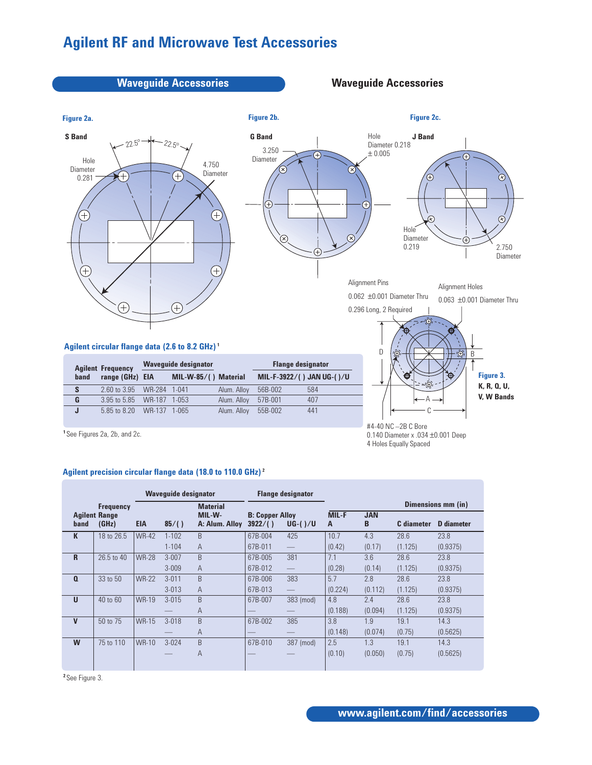

|                  |                               |              |           | <b>TRUNA ROOP</b>        |                                   |                          |                    |                 |            |                   |  |
|------------------|-------------------------------|--------------|-----------|--------------------------|-----------------------------------|--------------------------|--------------------|-----------------|------------|-------------------|--|
| <b>Frequency</b> |                               |              |           | <b>Material</b>          |                                   |                          | Dimensions mm (in) |                 |            |                   |  |
| band             | <b>Agilent Range</b><br>(GHz) | <b>EIA</b>   | 85/()     | MIL-W-<br>A: Alum. Alloy | <b>B: Copper Alloy</b><br>3922/() | $UG-()/U$                | <b>MIL-F</b><br>A  | <b>JAN</b><br>B | C diameter | <b>D</b> diameter |  |
| K                | 18 to 26.5                    | <b>WR-42</b> | $1 - 102$ | B                        | 67B-004                           | 425                      | 10.7               | 4.3             | 28.6       | 23.8              |  |
|                  |                               |              | $1 - 104$ | $\overline{A}$           | 67B-011                           | $\overline{\phantom{m}}$ | (0.42)             | (0.17)          | (1.125)    | (0.9375)          |  |
| R                | 26.5 to 40                    | <b>WR-28</b> | $3 - 007$ | B.                       | 67B-005                           | 381                      | 7.1                | 3.6             | 28.6       | 23.8              |  |
|                  |                               |              | $3 - 009$ | $\overline{A}$           | 67B-012                           |                          | (0.28)             | (0.14)          | (1.125)    | (0.9375)          |  |
| $\mathbf{a}$     | 33 to 50                      | <b>WR-22</b> | $3 - 011$ | B                        | 67B-006                           | 383                      | 5.7                | 2.8             | 28.6       | 23.8              |  |
|                  |                               |              | $3 - 013$ | $\overline{A}$           | 67B-013                           | $\overline{\phantom{m}}$ | (0.224)            | (0.112)         | (1.125)    | (0.9375)          |  |
| U                | 40 to 60                      | <b>WR-19</b> | $3 - 015$ | B                        | 67B-007                           | 383 (mod)                | 4.8                | 2.4             | 28.6       | 23.8              |  |
|                  |                               |              |           | $\overline{A}$           |                                   |                          | (0.188)            | (0.094)         | (1.125)    | (0.9375)          |  |
| V                | 50 to 75                      | <b>WR-15</b> | $3 - 018$ | B                        | 67B-002                           | 385                      | 3.8                | 1.9             | 19.1       | 14.3              |  |
|                  |                               |              |           | $\overline{A}$           |                                   |                          | (0.148)            | (0.074)         | (0.75)     | (0.5625)          |  |
| W                | 75 to 110                     | WR-10        | $3 - 024$ | B                        | 67B-010                           | 387 (mod)                | 2.5                | 1.3             | 19.1       | 14.3              |  |
|                  |                               |              |           | $\overline{A}$           |                                   |                          | (0.10)             | (0.050)         | (0.75)     | (0.5625)          |  |
|                  |                               |              |           |                          |                                   |                          |                    |                 |            |                   |  |

**<sup>2</sup>** See Figure 3.